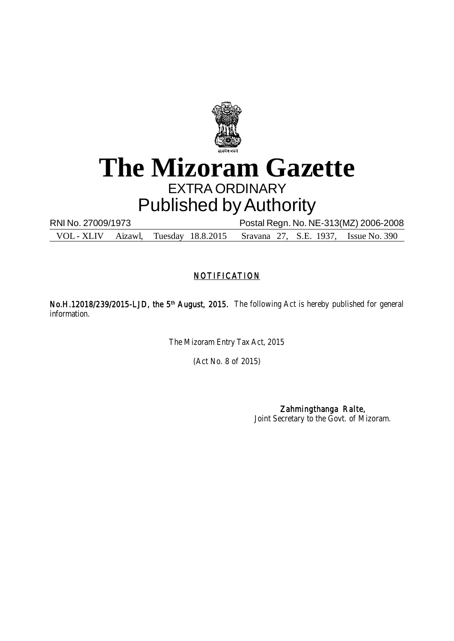

# **The Mizoram Gazette** EXTRA ORDINARY Published by Authority

RNI No. 27009/1973 Postal Regn. No. NE-313(MZ) 2006-2008 VOL - XLIV Aizawl, Tuesday 18.8.2015 Sravana 27, S.E. 1937, Issue No. 390

## **NOTIFICATION**

No.H.12018/239/2015-LJD, the 5<sup>th</sup> August, 2015. The following Act is hereby published for general information.

The Mizoram Entry Tax Act, 2015

(Act No. 8 of 2015)

Zahmingthanga Ralte, Joint Secretary to the Govt. of Mizoram.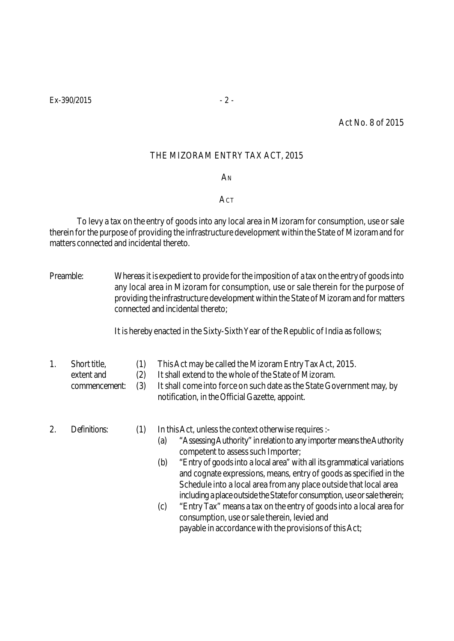Act No. 8 of 2015

## THE MIZORAM ENTRY TAX ACT, 2015

**A**<sub>N</sub>

### **ACT**

To levy a tax on the entry of goods into any local area in Mizoram for consumption, use or sale therein for the purpose of providing the infrastructure development within the State of Mizoram and for matters connected and incidental thereto.

Preamble: Whereas it is expedient to provide for the imposition of a tax on the entry of goods into any local area in Mizoram for consumption, use or sale therein for the purpose of providing the infrastructure development within the State of Mizoram and for matters connected and incidental thereto;

It is hereby enacted in the Sixty-Sixth Year of the Republic of India as follows;

- 1. Short title, (1) This Act may be called the Mizoram Entry Tax Act, 2015.
	- extent and (2) It shall extend to the whole of the State of Mizoram.
	- commencement: (3) It shall come into force on such date as the State Government may, by notification, in the Official Gazette, appoint.
- 

2. Definitions: (1) In this Act, unless the context otherwise requires :-

- (a) "Assessing Authority" in relation to any importer means the Authority competent to assess such Importer;
- (b) "Entry of goods into a local area" with all its grammatical variations and cognate expressions, means, entry of goods as specified in the Schedule into a local area from any place outside that local area including a place outside the State for consumption, use or sale therein;
- (c) "Entry Tax" means a tax on the entry of goods into a local area for consumption, use or sale therein, levied and payable in accordance with the provisions of this Act;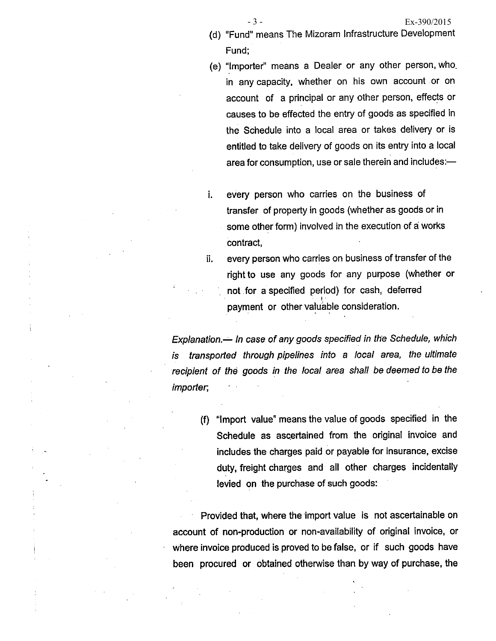- (d) "Fund" means The Mizoram Infrastructure Development Fund:
- (e) "Importer" means a Dealer or any other person, who. in any capacity, whether on his own account or on account of a principal or any other person, effects or causes to be effected the entry of goods as specified in the Schedule into a local area or takes delivery or is entitled to take delivery of goods on its entry into a local area for consumption, use or sale therein and includes:-
- every person who carries on the business of i. transfer of property in goods (whether as goods or in some other form) involved in the execution of a works contract,

every person who carries on business of transfer of the ii. right to use any goods for any purpose (whether or not for a specified period) for cash, deferred payment or other valuable consideration.

Explanation.— In case of any goods specified in the Schedule, which is transported through pipelines into a local area, the ultimate recipient of the goods in the local area shall be deemed to be the importer,

(f) "Import value" means the value of goods specified in the Schedule as ascertained from the original invoice and includes the charges paid or payable for insurance, excise duty, freight charges and all other charges incidentally levied on the purchase of such goods:

Provided that, where the import value is not ascertainable on account of non-production or non-availability of original invoice, or where invoice produced is proved to be false, or if such goods have been procured or obtained otherwise than by way of purchase, the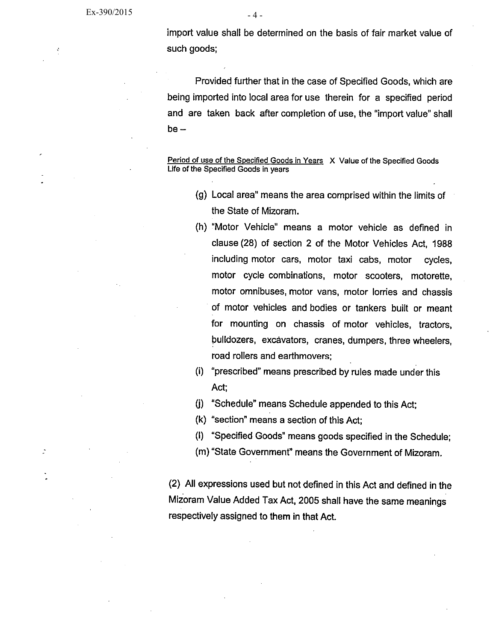import value shall be determined on the basis of fair market value of such goods;

Provided further that in the case of Specified Goods, which are being imported into local area for use therein for a specified period and are taken back after completion of use, the "import value" shall  $be -$ 

Period of use of the Specified Goods in Years X Value of the Specified Goods Life of the Specified Goods in years

- (g) Local area" means the area comprised within the limits of the State of Mizoram.
- (h) "Motor Vehicle" means a motor vehicle as defined in clause (28) of section 2 of the Motor Vehicles Act, 1988 including motor cars, motor taxi cabs, motor cycles. motor cycle combinations, motor scooters, motorette, motor omnibuses, motor vans, motor lorries and chassis of motor vehicles and bodies or tankers built or meant for mounting on chassis of motor vehicles, tractors, bulldozers, excavators, cranes, dumpers, three wheelers, road rollers and earthmovers;
- (i) "prescribed" means prescribed by rules made under this Act;
- (j) "Schedule" means Schedule appended to this Act;
- (k) "section" means a section of this Act:
- (I) "Specified Goods" means goods specified in the Schedule;
- (m) "State Government" means the Government of Mizoram.

(2) All expressions used but not defined in this Act and defined in the Mizoram Value Added Tax Act, 2005 shall have the same meanings respectively assigned to them in that Act.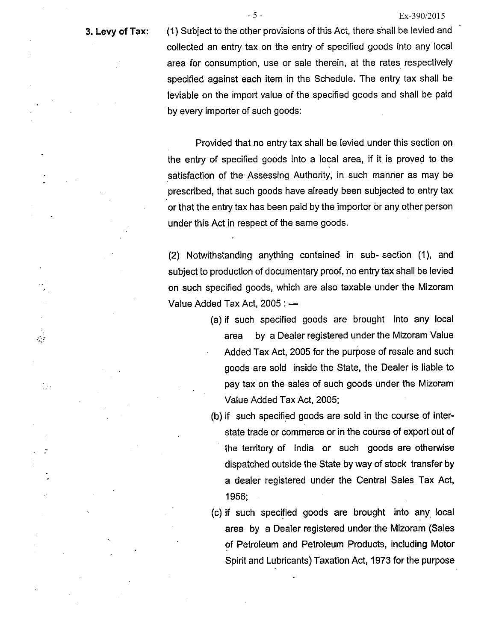#### 3. Levy of Tax:

 $\mathcal{L}^{\mathcal{L}}$ 

 $\sim$ 

(1) Subject to the other provisions of this Act, there shall be levied and collected an entry tax on the entry of specified goods into any local area for consumption, use or sale therein, at the rates respectively specified against each item in the Schedule. The entry tax shall be leviable on the import value of the specified goods and shall be paid by every importer of such goods:

 $-5-$ 

Provided that no entry tax shall be levied under this section on the entry of specified goods into a local area, if it is proved to the satisfaction of the Assessing Authority, in such manner as may be prescribed, that such goods have already been subjected to entry tax or that the entry tax has been paid by the importer or any other person under this Act in respect of the same goods.

(2) Notwithstanding anything contained in sub-section (1), and subject to production of documentary proof, no entry tax shall be levied on such specified goods, which are also taxable under the Mizoram Value Added Tax Act, 2005 : -

- (a) if such specified goods are brought into any local by a Dealer registered under the Mizoram Value area Added Tax Act, 2005 for the purpose of resale and such goods are sold inside the State, the Dealer is liable to pay tax on the sales of such goods under the Mizoram Value Added Tax Act, 2005;
- (b) if such specified goods are sold in the course of interstate trade or commerce or in the course of export out of the territory of India or such goods are otherwise dispatched outside the State by way of stock transfer by a dealer registered under the Central Sales Tax Act, 1956:
- (c) if such specified goods are brought into any local area by a Dealer registered under the Mizoram (Sales of Petroleum and Petroleum Products, including Motor Spirit and Lubricants) Taxation Act, 1973 for the purpose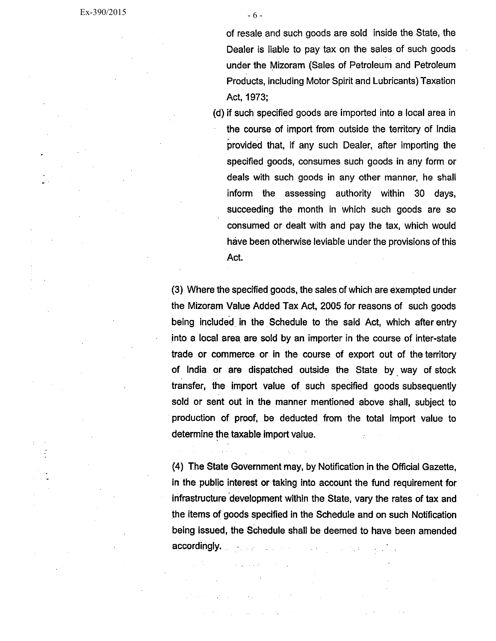of resale and such goods are sold inside the State, the Dealer is liable to pay tax on the sales of such goods

 $-6-$ 

under the Mizoram (Sales of Petroleum and Petroleum Products, including Motor Spirit and Lubricants) Taxation Act, 1973;

(d) if such specified goods are imported into a local area in the course of import from outside the territory of India provided that, if any such Dealer, after importing the specified goods, consumes such goods in any form or deals with such goods in any other manner, he shall inform the assessing authority within 30 days, succeeding the month in which such goods are so consumed or dealt with and pay the tax, which would have been otherwise leviable under the provisions of this Act.

(3) Where the specified goods, the sales of which are exempted under the Mizoram Value Added Tax Act, 2005 for reasons of such goods being included in the Schedule to the said Act, which after entry into a local area are sold by an importer in the course of inter-state trade or commerce or in the course of export out of the territory of India or are dispatched outside the State by way of stock transfer, the import value of such specified goods subsequently sold or sent out in the manner mentioned above shall, subject to production of proof, be deducted from the total import value to determine the taxable import value.

(4) The State Government may, by Notification in the Official Gazette, in the public interest or taking into account the fund requirement for infrastructure development within the State, vary the rates of tax and the items of goods specified in the Schedule and on such Notification being issued, the Schedule shall be deemed to have been amended accordingly.  $\label{eq:3} \mathcal{L}_{\mathcal{A}}(\mathbf{x}) = \mathcal{L}_{\mathcal{A}}(\mathbf{x}) \mathcal{L}_{\mathcal{A}}(\mathbf{x}) = \mathcal{L}_{\mathcal{A}}(\mathbf{x}) \mathcal{L}_{\mathcal{A}}(\mathbf{x}) = \mathcal{L}_{\mathcal{A}}(\mathbf{x}) \mathcal{L}_{\mathcal{A}}(\mathbf{x})$ 

 $\mathcal{N}(\mathcal{A})$  and the set of  $\mathcal{N}(\mathcal{A})$ 

and the control of the control of

 $\mathcal{O}(10^{-10})$  , where  $\mathcal{O}(10^{-10})$  and  $\mathcal{O}(10^{-10})$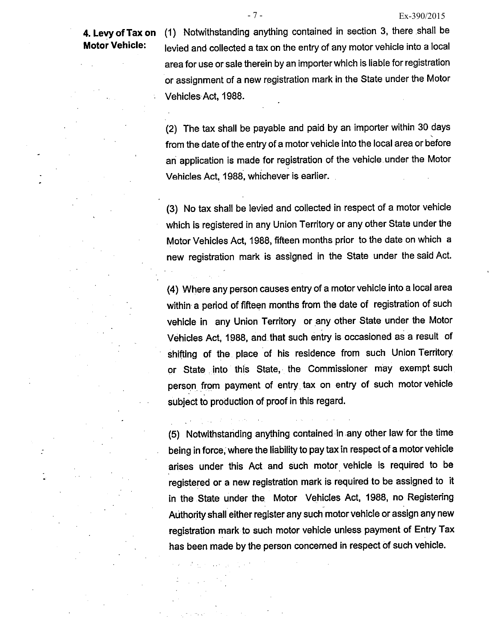## 4. Levy of Tax on **Motor Vehicle:**

(1) Notwithstanding anything contained in section 3, there shall be levied and collected a tax on the entry of any motor vehicle into a local area for use or sale therein by an importer which is liable for registration or assignment of a new registration mark in the State under the Motor Vehicles Act, 1988.

(2) The tax shall be payable and paid by an importer within 30 days from the date of the entry of a motor vehicle into the local area or before an application is made for registration of the vehicle under the Motor Vehicles Act, 1988, whichever is earlier.

(3) No tax shall be levied and collected in respect of a motor vehicle which is registered in any Union Territory or any other State under the Motor Vehicles Act, 1988, fifteen months prior to the date on which a new registration mark is assigned in the State under the said Act.

(4) Where any person causes entry of a motor vehicle into a local area within a period of fifteen months from the date of registration of such vehicle in any Union Territory or any other State under the Motor Vehicles Act, 1988, and that such entry is occasioned as a result of shifting of the place of his residence from such Union Territory or State into this State, the Commissioner may exempt such person from payment of entry tax on entry of such motor vehicle subject to production of proof in this regard.

(5) Notwithstanding anything contained in any other law for the time being in force, where the liability to pay tax in respect of a motor vehicle arises under this Act and such motor vehicle is required to be registered or a new registration mark is required to be assigned to it in the State under the Motor Vehicles Act, 1988, no Registering Authority shall either register any such motor vehicle or assign any new registration mark to such motor vehicle unless payment of Entry Tax has been made by the person concerned in respect of such vehicle.

 $\sim 0.1$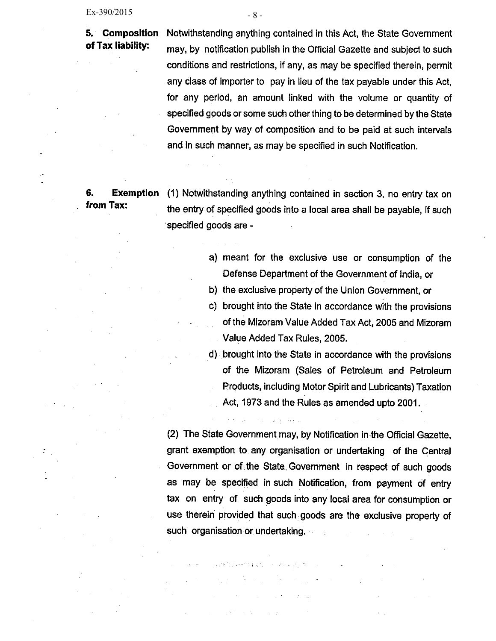5. Composition of Tax liability:

Notwithstanding anything contained in this Act, the State Government may, by notification publish in the Official Gazette and subject to such conditions and restrictions, if any, as may be specified therein, permit any class of importer to pay in lieu of the tax payable under this Act. for any period, an amount linked with the volume or quantity of specified goods or some such other thing to be determined by the State Government by way of composition and to be paid at such intervals and in such manner, as may be specified in such Notification.

#### 6. **Exemption** from Tax:

(1) Notwithstanding anything contained in section 3, no entry tax on the entry of specified goods into a local area shall be payable, if such specified goods are -

- a) meant for the exclusive use or consumption of the Defense Department of the Government of India, or
- b) the exclusive property of the Union Government, or
- c) brought into the State in accordance with the provisions of the Mizoram Value Added Tax Act, 2005 and Mizoram Value Added Tax Rules, 2005.
- d) brought into the State in accordance with the provisions of the Mizoram (Sales of Petroleum and Petroleum Products, including Motor Spirit and Lubricants) Taxation Act, 1973 and the Rules as amended upto 2001.

(2) The State Government may, by Notification in the Official Gazette. grant exemption to any organisation or undertaking of the Central Government or of the State Government in respect of such goods as may be specified in such Notification, from payment of entry tax on entry of such goods into any local area for consumption or use therein provided that such goods are the exclusive property of such organisation or undertaking.

 $\Delta t = 0.1$ 

a comunica

e sa kela araw

 $\sim 10^4$ 

 $-8-$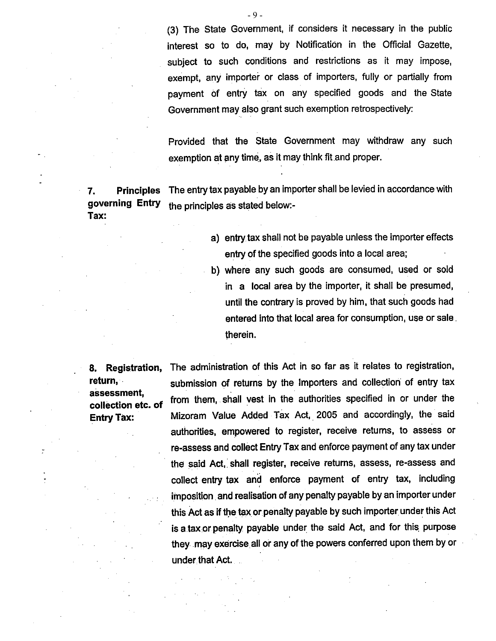(3) The State Government, if considers it necessary in the public interest so to do, may by Notification in the Official Gazette, subject to such conditions and restrictions as it may impose, exempt, any importer or class of importers, fully or partially from payment of entry tax on any specified goods and the State Government may also grant such exemption retrospectively:

Provided that the State Government may withdraw any such exemption at any time, as it may think fit and proper.

The entry tax payable by an importer shall be levied in accordance with **Principles** 7. governing Entry the principles as stated below:-Tax:

- a) entry tax shall not be payable unless the importer effects entry of the specified goods into a local area;
- b) where any such goods are consumed, used or sold in a local area by the importer, it shall be presumed, until the contrary is proved by him, that such goods had entered into that local area for consumption, use or sale. therein.

8. Registration, return. assessment. collection etc. of **Entry Tax:** 

The administration of this Act in so far as it relates to registration, submission of returns by the Importers and collection of entry tax from them, shall vest in the authorities specified in or under the Mizoram Value Added Tax Act, 2005 and accordingly, the said authorities, empowered to register, receive returns, to assess or re-assess and collect Entry Tax and enforce payment of any tax under the said Act, shall register, receive returns, assess, re-assess and collect entry tax and enforce payment of entry tax, including imposition and realisation of any penalty payable by an importer under this Act as if the tax or penalty payable by such importer under this Act is a tax or penalty payable under the said Act, and for this purpose they may exercise all or any of the powers conferred upon them by or under that Act.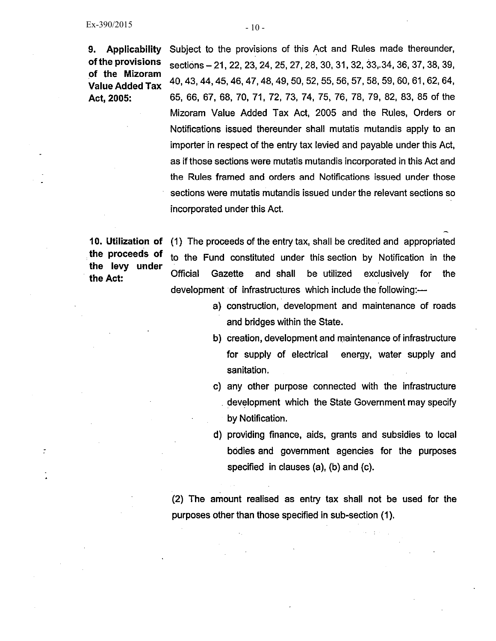**Applicability** 9. of the provisions of the Mizoram **Value Added Tax** Act, 2005:

Subject to the provisions of this Act and Rules made thereunder, sections – 21, 22, 23, 24, 25, 27, 28, 30, 31, 32, 33, 34, 36, 37, 38, 39, 40, 43, 44, 45, 46, 47, 48, 49, 50, 52, 55, 56, 57, 58, 59, 60, 61, 62, 64, 65, 66, 67, 68, 70, 71, 72, 73, 74, 75, 76, 78, 79, 82, 83, 85 of the Mizoram Value Added Tax Act, 2005 and the Rules, Orders or Notifications issued thereunder shall mutatis mutandis apply to an importer in respect of the entry tax levied and payable under this Act, as if those sections were mutatis mutandis incorporated in this Act and the Rules framed and orders and Notifications issued under those sections were mutatis mutandis issued under the relevant sections so incorporated under this Act.

10. Utilization of the proceeds of the levy under the Act:

 $\tilde{z}$ 

(1) The proceeds of the entry tax, shall be credited and appropriated to the Fund constituted under this section by Notification in the **Official** Gazette and shall be utilized exclusively for the development of infrastructures which include the following:-

- a) construction, development and maintenance of roads and bridges within the State.
- b) creation, development and maintenance of infrastructure for supply of electrical energy, water supply and sanitation.
- c) any other purpose connected with the infrastructure development which the State Government may specify by Notification.
- d) providing finance, aids, grants and subsidies to local bodies and government agencies for the purposes specified in clauses (a), (b) and (c).

(2) The amount realised as entry tax shall not be used for the purposes other than those specified in sub-section (1).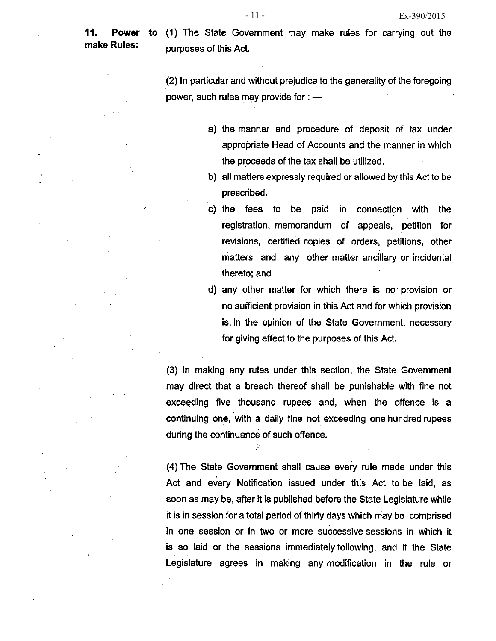11. **Power** make Rules:

(1) The State Government may make rules for carrying out the to purposes of this Act.

(2) In particular and without prejudice to the generality of the foregoing power, such rules may provide for : -

- a) the manner and procedure of deposit of tax under appropriate Head of Accounts and the manner in which the proceeds of the tax shall be utilized.
- b) all matters expressly required or allowed by this Act to be prescribed.
- c) the fees to be paid connection with in the registration, memorandum of appeals, petition for revisions, certified copies of orders, petitions, other matters and any other matter ancillary or incidental thereto: and
- d) any other matter for which there is no provision or no sufficient provision in this Act and for which provision is, in the opinion of the State Government, necessary for giving effect to the purposes of this Act.

(3) In making any rules under this section, the State Government may direct that a breach thereof shall be punishable with fine not exceeding five thousand rupees and, when the offence is a continuing one, with a daily fine not exceeding one hundred rupees during the continuance of such offence.

(4) The State Government shall cause every rule made under this Act and every Notification issued under this Act to be laid, as soon as may be, after it is published before the State Legislature while it is in session for a total period of thirty days which may be comprised in one session or in two or more successive sessions in which it is so laid or the sessions immediately following, and if the State Legislature agrees in making any modification in the rule or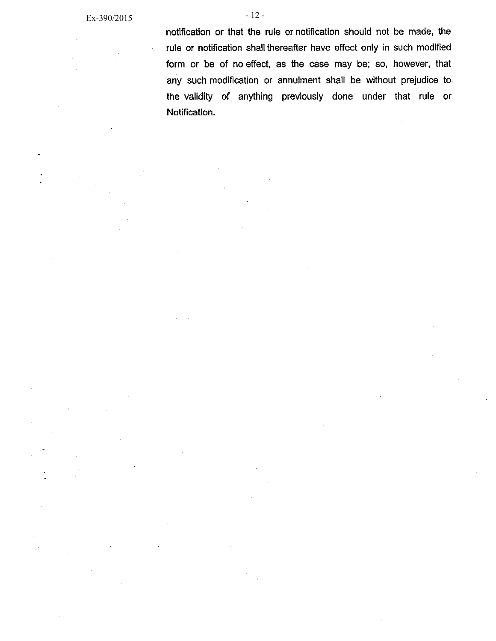$-12-$ 

Notification.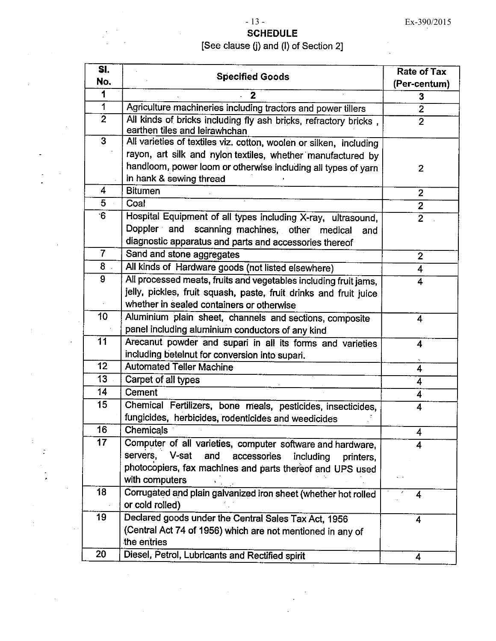## $-13-$

## **SCHEDULE** [See clause (j) and (l) of Section 2]

| SI.            | <b>Specified Goods</b>                                                                            | <b>Rate of Tax</b> |
|----------------|---------------------------------------------------------------------------------------------------|--------------------|
| No.            |                                                                                                   | (Per-centum)       |
| 1              | $\mathbf{2}$                                                                                      | 3                  |
| $\mathbf{1}$   | Agriculture machineries including tractors and power tillers                                      | $\overline{2}$     |
| $\overline{2}$ | All kinds of bricks including fly ash bricks, refractory bricks,<br>earthen tiles and leirawhchan | $\overline{2}$     |
| 3              | All varieties of textiles viz. cotton, woolen or silken, including                                |                    |
|                | rayon, art silk and nylon textiles, whether manufactured by                                       |                    |
|                | handloom, power loom or otherwise including all types of yarn                                     | $\overline{2}$     |
|                | in hank & sewing thread                                                                           |                    |
| 4              | <b>Bitumen</b>                                                                                    | $\mathbf{2}$       |
| 5              | Coal                                                                                              | $\overline{2}$     |
| 6              | Hospital Equipment of all types including X-ray, ultrasound,                                      | $\overline{2}$     |
|                | Doppler and scanning machines, other medical<br>and                                               |                    |
|                | diagnostic apparatus and parts and accessories thereof                                            |                    |
| $\overline{7}$ | Sand and stone aggregates                                                                         | $\overline{2}$     |
| 8              | All kinds of Hardware goods (not listed elsewhere)                                                | 4                  |
| 9              | All processed meats, fruits and vegetables including fruit jams,                                  | 4                  |
|                | jelly, pickles, fruit squash, paste, fruit drinks and fruit juice                                 |                    |
|                | whether in sealed containers or otherwise                                                         |                    |
| 10             | Aluminium plain sheet, channels and sections, composite                                           | 4                  |
|                | panel including aluminium conductors of any kind                                                  |                    |
| 11             | Arecanut powder and supari in all its forms and varieties                                         | 4                  |
|                | including betelnut for conversion into supari.                                                    |                    |
| 12             | <b>Automated Teller Machine</b>                                                                   | 4                  |
| 13             | Carpet of all types                                                                               | 4                  |
| 14             | Cement                                                                                            | 4                  |
| 15             | Chemical Fertilizers, bone meals, pesticides, insecticides,                                       | 4                  |
|                | fungicides, herbicides, rodenticides and weedicides                                               |                    |
| 16             | <b>Chemicals</b>                                                                                  | 4                  |
| 17             | Computer of all varieties, computer software and hardware,                                        | 4                  |
|                | servers,<br>V-sat<br>and<br>accessories<br>including<br>printers.                                 |                    |
|                | photocopiers, fax machines and parts thereof and UPS used                                         |                    |
|                | with computers                                                                                    |                    |
| 18             | Corrugated and plain galvanized iron sheet (whether hot rolled                                    | 4                  |
|                | or cold rolled)                                                                                   |                    |
| 19             | Declared goods under the Central Sales Tax Act, 1956                                              | 4                  |
|                | (Central Act 74 of 1956) which are not mentioned in any of                                        |                    |
|                | the entries                                                                                       |                    |
| 20             | Diesel, Petrol, Lubricants and Rectified spirit                                                   | 4                  |

 $\bar{z}$ 

÷

Ĵ,

 $\,1\,$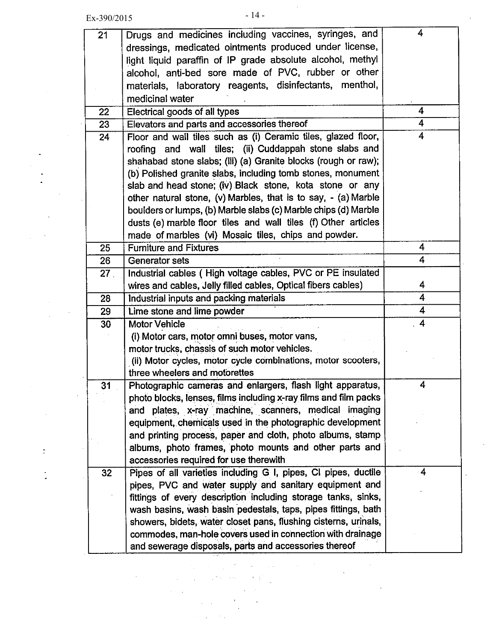$\bar{\beta}$ 

 $\Box$ 

 $\mathbb{R}^3$ 

÷,

 $\mathcal{L}$ 

| 21              | Drugs and medicines including vaccines, syringes, and            | 4                       |
|-----------------|------------------------------------------------------------------|-------------------------|
|                 | dressings, medicated ointments produced under license,           |                         |
|                 | light liquid paraffin of IP grade absolute alcohol, methyl       |                         |
|                 | alcohol, anti-bed sore made of PVC, rubber or other              |                         |
|                 | materials, laboratory reagents, disinfectants, menthol,          |                         |
|                 | medicinal water                                                  |                         |
| 22              | Electrical goods of all types                                    | 4                       |
| 23              | Elevators and parts and accessories thereof                      | 4                       |
| 24              | Floor and wall tiles such as (i) Ceramic tiles, glazed floor,    | 4                       |
|                 | roofing and wall tiles; (ii) Cuddappah stone slabs and           |                         |
|                 | shahabad stone slabs; (iii) (a) Granite blocks (rough or raw);   |                         |
|                 | (b) Polished granite slabs, including tomb stones, monument      |                         |
|                 | slab and head stone; (iv) Black stone, kota stone or any         |                         |
|                 | other natural stone, (v) Marbles, that is to say, - (a) Marble   |                         |
|                 | boulders or lumps, (b) Marble slabs (c) Marble chips (d) Marble  |                         |
|                 | dusts (e) marble floor tiles and wall tiles (f) Other articles   |                         |
|                 | made of marbles (vi) Mosaic tiles, chips and powder.             |                         |
| 25              | <b>Furniture and Fixtures</b>                                    | 4                       |
| 26              | <b>Generator sets</b>                                            | 4                       |
| 27 <sub>1</sub> | Industrial cables (High voltage cables, PVC or PE insulated      |                         |
|                 | wires and cables, Jelly filled cables, Optical fibers cables)    | 4                       |
| 28              | Industrial inputs and packing materials                          | 4                       |
| 29              | Lime stone and lime powder                                       | 4                       |
| 30              | <b>Motor Vehicle</b>                                             | 4                       |
|                 | (i) Motor cars, motor omni buses, motor vans,                    |                         |
|                 | motor trucks, chassis of such motor vehicles.                    |                         |
|                 | (ii) Motor cycles, motor cycle combinations, motor scooters,     |                         |
|                 | three wheelers and motorettes                                    |                         |
| 31              | Photographic cameras and enlargers, flash light apparatus,       | 4                       |
|                 | photo blocks, lenses, films including x-ray films and film packs |                         |
|                 | plates, x-ray machine, scanners, medical imaging<br>and          |                         |
|                 | equipment, chemicals used in the photographic development        |                         |
|                 | and printing process, paper and cloth, photo albums, stamp       |                         |
|                 | albums, photo frames, photo mounts and other parts and           |                         |
|                 | accessories required for use therewith                           |                         |
| 32              | Pipes of all varieties including G I, pipes, CI pipes, ductile   | $\overline{\mathbf{4}}$ |
|                 | pipes, PVC and water supply and sanitary equipment and           |                         |
|                 | fittings of every description including storage tanks, sinks,    |                         |
|                 | wash basins, wash basin pedestals, taps, pipes fittings, bath    |                         |
|                 | showers, bidets, water closet pans, flushing cisterns, urinals,  |                         |
|                 | commodes, man-hole covers used in connection with drainage       |                         |
|                 | and sewerage disposals, parts and accessories thereof            |                         |

 $\label{eq:2.1} \mathcal{L}_{\mathcal{A}}(\mathcal{A})=\mathcal{L}_{\mathcal{A}}(\mathcal{A})\mathcal{L}_{\mathcal{A}}(\mathcal{A})\mathcal{L}_{\mathcal{A}}(\mathcal{A})\mathcal{L}_{\mathcal{A}}(\mathcal{A})\mathcal{L}_{\mathcal{A}}(\mathcal{A})$ 

 $\langle \hat{A}^{\dagger} \hat{A}^{\dagger} \hat{A}^{\dagger} \hat{A}^{\dagger} \hat{A}^{\dagger} \hat{A}^{\dagger} \hat{A}^{\dagger} \hat{A}^{\dagger} \hat{A}^{\dagger} \hat{A}^{\dagger} \hat{A}^{\dagger} \hat{A}^{\dagger} \hat{A}^{\dagger} \hat{A}^{\dagger} \hat{A}^{\dagger} \hat{A}^{\dagger} \hat{A}^{\dagger} \hat{A}^{\dagger} \hat{A}^{\dagger} \hat{A}^{\dagger} \hat{A}^{\dagger} \hat{A}^{\d$ 

 $\mathcal{L}(\mathcal{A})$  and  $\mathcal{L}(\mathcal{A})$